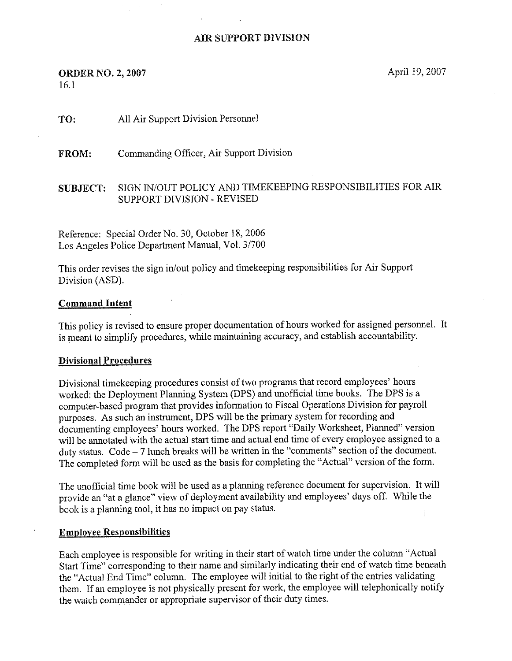# AIR SUPPORT DIVISION

# **ORDER NO. 2, 2007** April 19, 2007 16.1

Td: All Air Support Division Personnel

FROM: Commanding dfficer, Air Support Division

# SUBJECT: SIGN IN/OUT POLICY AND TIMEKEEPING RESPONSIBILITIES FOR AIR SUPPORT DIVISION -REVISED

Reference: Special Order No. 30, October 18, 2006 Los Angeles Police Department Manual, Vol. 3/700

This order revises the sign in/out policy and timekeeping responsibilities for Air Support Division (ASD).

#### Command Intent

This policy is revised to ensure proper documentation of hours worked for assigned personnel. It is meant to simplify procedures, while maintaining accuracy, and establish accountability.

#### Divisional Procedures

Divisional timekeeping procedures consist of two programs that record employees' hours worked: the Deployment Planning System (DPS) and unofficial time books. The DPS is a computer-based program that provides information to Fiscal Operations Division for payroll purposes. As such an instrument, DPS will be the primary system for recording and documenting employees' hours worked. The DPS report "Daily Worksheet, Planned" version will be annotated with the actual start time and actual end time of every employee assigned to a duty status. Code — 7 lunch breaks will be written in the "comments" section of the document. The completed form will be used as the basis for completing the "Actual" version of the form.

The unofficial time book will be used as a planning reference document for supervision. It will provide an "at a glance" view of deployment availability and employees' days off. While the book is a planning tool, it has no impact on pay status.

#### Employee Responsibilities

Each employee is responsible for writing in their start of watch time under the column "Actual Start Time" corresponding to their name and similarly indicating their end of watch time beneath the "Actual End Time" column. The employee will initial to the right of the entries validating them. If an employee is not physically present for work, the employee will telephonically notify the watch commander or appropriate supervisor of their duty times.